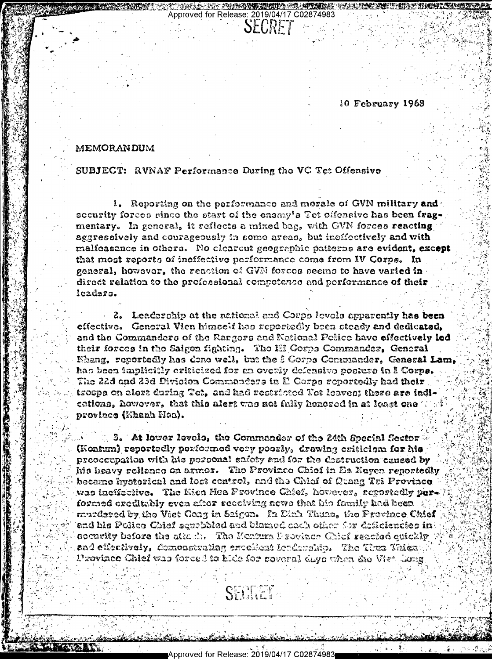10 February 1968

للا≉ال وال

## MEMORANDUM

SUBJECT: RVNAF Performance During the VC Tet Offensive

1. Reporting on the performance and morale of GVN military and security forces since the start of the enemy's Tet offensive has been fragmentary. In general, it reflects a mixed bag, with GVN forces reacting aggressively and courageously in some areas, but ineffectively and with malfeasance in others. No cleareut geographic patterns are evident, except that most reports of ineffective performance come from IV Corps. In general, however, the reaction of GVN forces seems to have varied in direct relation to the professional competence and performance of their leadars.

**THE TURE WE SHOULD ARE WITH THE T** 

**SECRET** 

Approved for Release: 2019/04/17 C02874983

2. Leadership at the national and Corps levels apparently has been effective. General Vien himself has seportedly been steady and dedicated, and the Commanders of the Rangers and National Police have effectively led their forces in the Saigon fighting. The III Gosps Commander, General Khang, reportedly has dene well, but the I Corps Commander, General Lam, has been implicitly criticized for an overly defensive posture in I Corps. The 22d and 23d Division Commanders in E Corps reportedly had their troops on elert during Tet, and had restricted Tet leaves; there are indications, however, that this alert was not fully honored in at least one provinco (Ehanh Hoa).

3. At lower levels, the Commander of the 24th Special Sector (Kontum) reportedly performed very poorly, drawing critician for his preoccupation with his porsonal safety and for the destruction caused by his heavy reliance on armor. The Province Chief in Ea Nuyen reportedly became hyptorical and lost control, and the Chief of Grang Tri Province was incliserive. The Kien Hoa Province Chief, however, reportedly parformed creditably even after receiving news that his family had been  $\mathbb{R}^d$ murdsred by the Viet Cong in Saigon. In Dinh Thuan, the Province Chief and his Police Chief sexubbled and blamed cach office for deficiencies in  $\cdot$ socusity before the attack. The Montum Frovince Chief reacted quickly and effectively, demonstrating encollent leadership. The Thus Thies: Province Chief was forced to hide for several days when the Viet Cong.

Approved for Release: 2019/04/17 C02874983

SECRET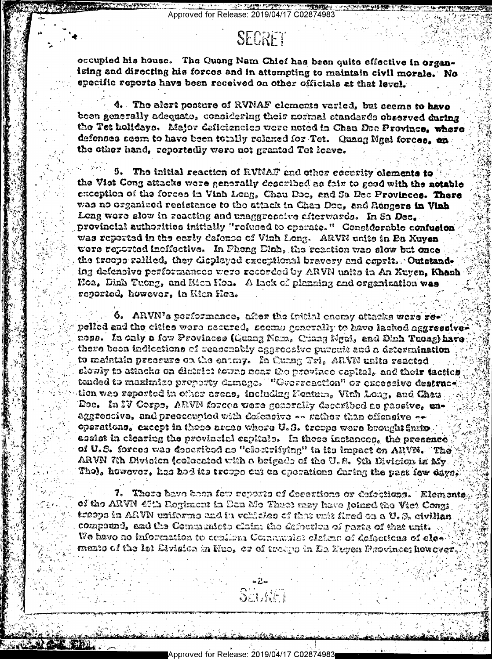Approved for Release: 2019/04/17 C02874983

## SECRET

**TALE ADENTS PLATFORMED** 

**SALE AND THE REAL PROPERTY OF STATE** 

occupied his house. The Quang Nam Chief has been quite effective in organizing and directing his forces and in attempting to maintain civil morale. No specific reports have been received on other officials at that level.

4. The alert posture of RVNAF elements varied, but seems to have been generally adequate, considering their normal standards observed during the Tet holidays. Major deficiencies were noted in Chau Dec Province, where defenses seem to have been totally relexed for Tet. Quang Ngal forces, on the other hand, reportedly were not granted Tet loave.

The initial reaction of RVNAT and other security elements to 5. the Viat Cong attacks were generally described as fair to good with the notable exception of the forces in Vinh Long, Chau Doc, and Sa Dec Provinces. There was no organized resistance to the attack in Chau Doc, and Rangers in Vinh Long were slow in reacting and unaggreented diterwards. In Sa Dec. provincial authorities initially "refused to operate." Considerable confusion was reported in the early defense of Vinh Long. ARVN units in Ea Xuyen were reported incifective. In Phong Dinh, the reaction was slow but once the troops rallied, they displayed exceptional bravery and coprit. Outstanding defensive performances were recorded by ARVN units in An Xuyen, Khanh Hoa, Diab Tuong, and Hien Hoa. A lack of planning and organization was reported, however, in Kien Hoa.

 $^\circ$  6. ARVN's performance, after the intital energy attacks were repelled and the cities were resured, seemp generally to have lacked aggressiveness. In only a few Provinces (Guang Nam. Chang Mgai, and Dinh Tueng) have there been indicctions of reasonably aggreceive purcuit and a determination to maintain preseure on the entmy. In Cumng Tri, ARVN units reacted slowly to attacks on district towns near the province capital, and their tactics tended to maximize property damage. ""Gverzeaction" or excessive destruce, tion was reported in other ereas, including Fontum, Vinh Long, and Chau Doc. In IV Corps, ARVN forces were generally decerbed as passive, unaggreccive, and preescupied with defeasive -- rether than effensive -operations, except in those areas whore U.S. troops were brought finite, assist in clearing the provincial capitals. In these inclances, the presence of U.S. forces was described as "clestrifying" in its impact on ARVN. The ARVN 7th Division (coloested with a brigade of the U.S. 9th Division in My. Tho), however, has had its troeps out on operations during the past few days.

7. Thore have been fow reports of desertions or defections. Elements, of the ARVN 45th Regiment in Dan Me Thuet may have joined the Vict Const troops in ARVN uniforms and in vehicles of that unit fired on a U.S. civilian compound, and the Communiote claim the defection of parts of that unit. We have no information to conflime Communiot claims of defections of clos mento of the let Elvision in Fiuo, or of troups in En Neyen Province; however,

Approved for Release: 2019/04/17 C02874983

正 注入分

SEUNET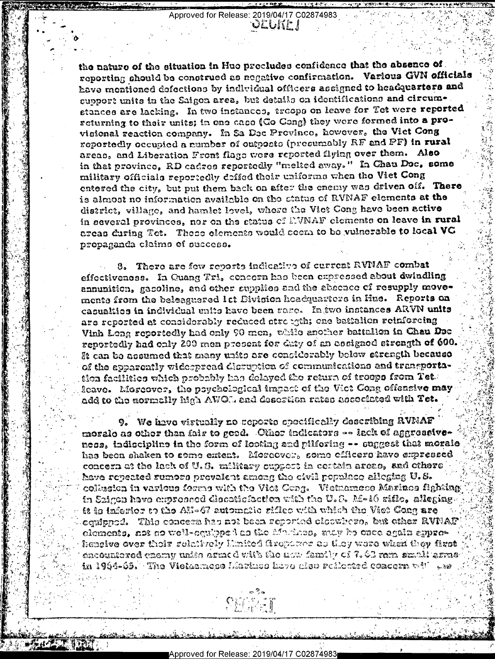Approved for Release: 2019/04/17 C02874983 OLUNE I

the nature of the eituation in Hue precludes confidence that the absence of. reporting should be construed as negative confirmation. Various GVN officials have montioned defections by individual officers assigned to headquarters and support units in the Saigon area, but details on identifications and circumstances are lacking. In two instances, trosps on leave for Tet were reported returning to their units; in one case (Go Gang) they were formed into a provisional reaction company. In Sa Dec Prevince, however, the Viet Cong reportedly occupied a number of outposts (presumably RF and PF) in rural areas, and Liberation Front flags were reported flying over them. Also in that province, RD cadres reportedly "melted away." In Chau Doc, some military officials reportedly defied their uniforms when the Viet Cong entered the city, but put them back on after the enemy was driven off. There is almost no information available on the status of RVNAF elements at the district, village, and hamlet level, where the Viet Cong have been active in several provinces, nor on the status of EVNAF elements on leave in rural areas during Tet. These elements would seem to be vulnerable to local VG propaganda claims of success.

8. There are few reports indicative of current RVNAF combat effectiveness. In Quang Tri, concern has been expressed about dwindling annunition, gasoline, and other supplies and the absence of resupply movements from the beleaguered let Division headquarters in Hue. Reports on casualties in individual units have been rane. In two instances ARVN units are reported at considerably reduced atrongth; one battalion reinforcing Vinh Long reportedly had only 90 men, while another battallon in Chau Doc reportedly had only 200 men present for duty of an assigned strength of 600. It can be assumed that many units are considerably below strength because of the apparently widespread disruption of communications and transportation facilities which probably has delayed the return of trosps from Tet. feave. Moreover, the psychological impact of the Vict Cong offensive may add to the mormelly high AWOL, and desertion rates accordated with Tet.

9. We have virtually no reports specifically describing RVNAF morale as other than fair to geed. Other indicators -- lack of aggressiveness, indiscipline in the form of looting and pilforing -- suggest that morale has been shaken to some entent. Moreover, some efficers have expressed concesa at the lack of U.S. military outpost in certain areas, and othere heve repeated sumors prevalent among the civil populace alleging U.S. collusion in various forms with the Vict Cong. Victuamese Marinos fighting in Saigen have empressed discatiofaction with the U.S. Af-16 rifle, slicging. it is inferior to the AK-47 automatic rifleo with which the Viet Coag are equipped. This concern has not been reported sloowhers, but other RVFIAF elements, not so well-equipped as the Marines, andy he once again sypreheagive over their selatively Matted fireparer as they were when they fixet encountered enemy unite armed with the new family of 7.02 ram small arms  ${\bf in}$  1964-65. The Vietnamess Liarinos have also reflected concern vill we

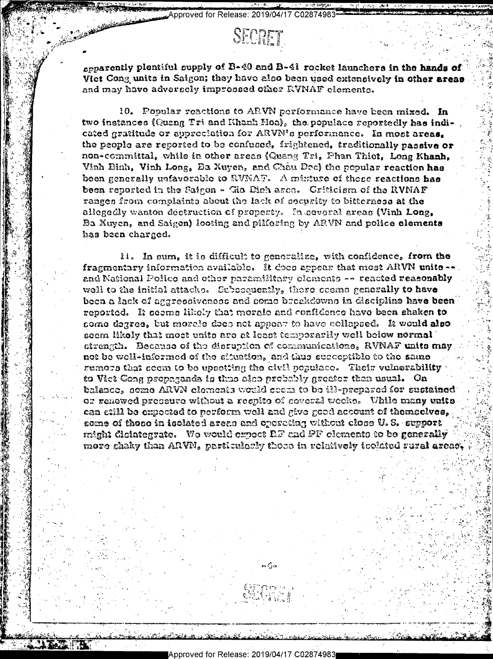Approved for Release: 2019/04/17 C02874983

## SECRET

apparently plentiful supply of B-40 and B-41 rocket launchers in the hands of Viet Cong units in Saigon; they have also been used extensively in other areas and may have adversely impressed other RVNAF elements.

10. Fopular reactions to ARVN performance have been mixed. In two instances (Quang Tri and Khanh Hoa), the populace reportedly has indicated gratitude or appreciation for ARVN's performance. In most areas. the people are reported to be confused, frightened, traditionally passive or non-committal, while in other areas (Quang Tri, Phan Thiet, Long Khanh, Vinh Binh, Vinh Long, Ba Xuyen, and Chau Doc) the popular reaction has been generally unfavorable to RVNAF. A mixture of these reactions has been reported in the Saigon - Gia Dinh arca. Criticism of the RVNAF ranges from complaints about the lack of security to bitterness at the allegedly wanton dectruction of property. In neveral areas (Vinh Long, Ba Xuyen, and Saigon) looting and pilforing by ARVN and police elements has been charged.

It. In sum, it is difficult to generalize, with confidence, from the fragmentary information available. It does appear that most ARVN units --. and National Polico and other paramilitary elements -- reacted reasonably well to the initial attacks. Subsequently, there seems generally to have been a lack of aggressiveness and some breakdowns in discipline have been reported. It seems likely that morale and confidence have been shaken to some degree, but morale does not appear to have collapsed. It would also seem likely that most units are at least temporarily well below normal strength. Because of the disruption of communications, RVNAF units may not be well-informed of the situation, and thus succeptible to the same rumors that seem to be upsetting the civil populace. Their vulnerability to Vict Cong propagands is thus also probably greater than usual. On balance, some ARVN elements would seem to be ill-prepared for sustained or renewed preseure without a respite of several weeks. While many units can etill be expected to perform well and give good account of themselves, some of those in isolated areas and operating without close U.S. support might dicintegrate. We would expect RF and PF elements to be generally more chaky than ARVN, particularly those in relatively toolated rural areact